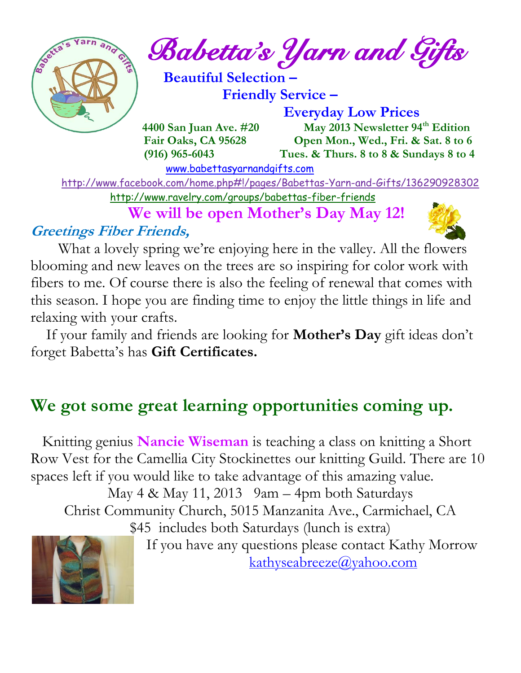

 $\int_{\mathbb{R}} e^{\frac{2\pi i}{3} \left( \frac{1}{\sqrt{3}} \right)} \mathbb{E}^{2} \left( \mathcal{L} \right) \mathbb{E}^{2} \left( \mathcal{L} \right)$  and  $\mathcal{L} \left( \mathcal{L} \right)$ 

 **Beautiful Selection – Friendly Service –**

 **Everyday Low Prices**

 **4400 San Juan Ave. #20 May 2013 Newsletter 94th Edition Fair Oaks, CA 95628 Open Mon., Wed., Fri. & Sat. 8 to 6 (916) 965-6043 Tues. & Thurs. 8 to 8 & Sundays 8 to 4** 

[www.babettasyarnandgifts.com](http://www.babettasyarnandgifts.com/)

 <http://www.facebook.com/home.php#!/pages/Babettas-Yarn-and-Gifts/136290928302> <http://www.ravelry.com/groups/babettas-fiber-friends>

 **We will be open Mother's Day May 12!**

### **Greetings Fiber Friends,**



 What a lovely spring we're enjoying here in the valley. All the flowers blooming and new leaves on the trees are so inspiring for color work with fibers to me. Of course there is also the feeling of renewal that comes with this season. I hope you are finding time to enjoy the little things in life and relaxing with your crafts.

 If your family and friends are looking for **Mother's Day** gift ideas don't forget Babetta's has **Gift Certificates.**

### **We got some great learning opportunities coming up.**

 Knitting genius **Nancie Wiseman** is teaching a class on knitting a Short Row Vest for the Camellia City Stockinettes our knitting Guild. There are 10 spaces left if you would like to take advantage of this amazing value. May  $4 \&$  May  $11, 2013$  9am – 4pm both Saturdays Christ Community Church, 5015 Manzanita Ave., Carmichael, CA \$45 includes both Saturdays (lunch is extra)



 If you have any questions please contact Kathy Morrow [kathyseabreeze@yahoo.com](mailto:kathyseabreeze@yahoo.com)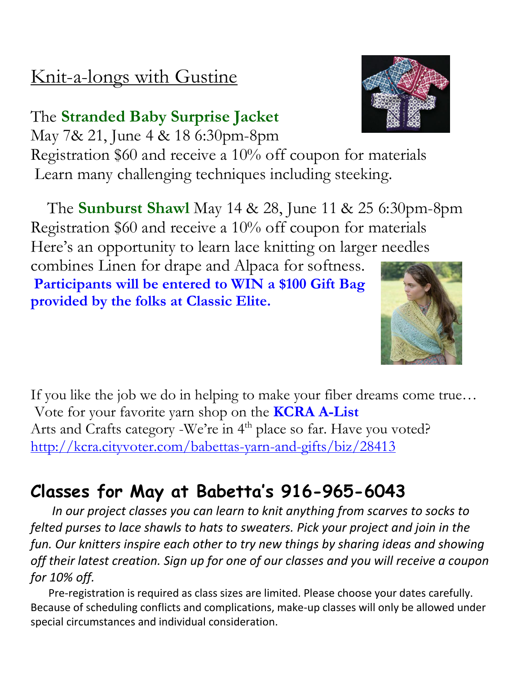## Knit-a-longs with Gustine

### The **Stranded Baby Surprise Jacket** May 7& 21, June 4 & 18 6:30pm-8pm

Registration \$60 and receive a 10% off coupon for materials Learn many challenging techniques including steeking.

The **Sunburst Shawl** May 14 & 28, June 11 & 25 6:30pm-8pm Registration \$60 and receive a 10% off coupon for materials Here's an opportunity to learn lace knitting on larger needles

combines Linen for drape and Alpaca for softness. **Participants will be entered to WIN a \$100 Gift Bag provided by the folks at Classic Elite.**

If you like the job we do in helping to make your fiber dreams come true… Vote for your favorite yarn shop on the **KCRA A-List** Arts and Crafts category -We're in 4<sup>th</sup> place so far. Have you voted? <http://kcra.cityvoter.com/babettas-yarn-and-gifts/biz/28413>

### **Classes for May at Babetta's 916-965-6043**

 *In our project classes you can learn to knit anything from scarves to socks to felted purses to lace shawls to hats to sweaters. Pick your project and join in the fun. Our knitters inspire each other to try new things by sharing ideas and showing off their latest creation. Sign up for one of our classes and you will receive a coupon for 10% off.*

Pre-registration is required as class sizes are limited. Please choose your dates carefully. Because of scheduling conflicts and complications, make-up classes will only be allowed under special circumstances and individual consideration.



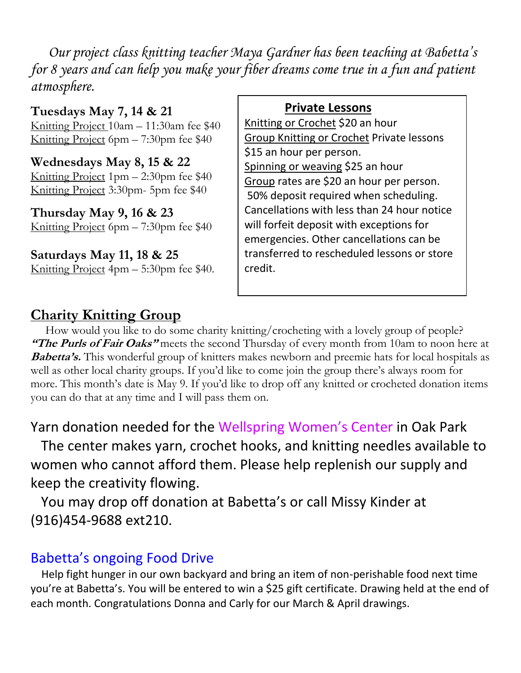*Our project class knitting teacher Maya Gardner has been teaching at Babetta's for 8 years and can help you make your fiber dreams come true in a fun and patient atmosphere.*

**Tuesdays May 7, 14 & 21** Knitting Project 10am – 11:30am fee \$40 Knitting Project 6pm – 7:30pm fee \$40

**Wednesdays May 8, 15 & 22** Knitting Project 1pm – 2:30pm fee \$40 Knitting Project 3:30pm- 5pm fee \$40

**Thursday May 9, 16 & 23** Knitting Project 6pm – 7:30pm fee \$40

**Saturdays May 11, 18 & 25** Knitting Project 4pm – 5:30pm fee \$40.

#### **Private Lessons**

Knitting or Crochet \$20 an hour Group Knitting or Crochet Private lessons \$15 an hour per person. Spinning or weaving \$25 an hour Group rates are \$20 an hour per person. 50% deposit required when scheduling. Cancellations with less than 24 hour notice will forfeit deposit with exceptions for emergencies. Other cancellations can be transferred to rescheduled lessons or store credit.

#### **Charity Knitting Group**

 How would you like to do some charity knitting/crocheting with a lovely group of people? **"The Purls of Fair Oaks"** meets the second Thursday of every month from 10am to noon here at **Babetta's.** This wonderful group of knitters makes newborn and preemie hats for local hospitals as well as other local charity groups. If you'd like to come join the group there's always room for more. This month's date is May 9. If you'd like to drop off any knitted or crocheted donation items you can do that at any time and I will pass them on.

Yarn donation needed for the Wellspring Women's Center in Oak Park

 The center makes yarn, crochet hooks, and knitting needles available to women who cannot afford them. Please help replenish our supply and keep the creativity flowing.

 You may drop off donation at Babetta's or call Missy Kinder at (916)454-9688 ext210.

#### Babetta's ongoing Food Drive

 Help fight hunger in our own backyard and bring an item of non-perishable food next time you're at Babetta's. You will be entered to win a \$25 gift certificate. Drawing held at the end of each month. Congratulations Donna and Carly for our March & April drawings.